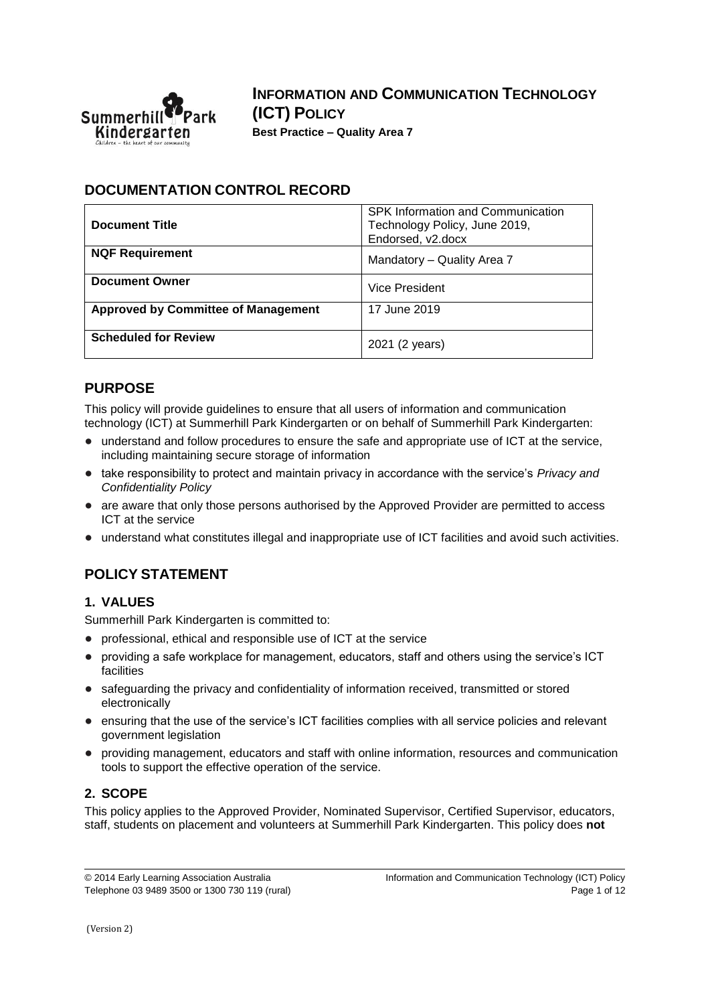

**INFORMATION AND COMMUNICATION TECHNOLOGY (ICT) POLICY Best Practice – Quality Area 7**

### **DOCUMENTATION CONTROL RECORD**

| <b>Document Title</b>                      | SPK Information and Communication<br>Technology Policy, June 2019,<br>Endorsed, v2.docx |
|--------------------------------------------|-----------------------------------------------------------------------------------------|
| <b>NQF Requirement</b>                     | Mandatory - Quality Area 7                                                              |
| <b>Document Owner</b>                      | Vice President                                                                          |
| <b>Approved by Committee of Management</b> | 17 June 2019                                                                            |
| <b>Scheduled for Review</b>                | 2021 (2 years)                                                                          |

### **PURPOSE**

This policy will provide guidelines to ensure that all users of information and communication technology (ICT) at Summerhill Park Kindergarten or on behalf of Summerhill Park Kindergarten:

- understand and follow procedures to ensure the safe and appropriate use of ICT at the service, including maintaining secure storage of information
- take responsibility to protect and maintain privacy in accordance with the service's *Privacy and Confidentiality Policy*
- are aware that only those persons authorised by the Approved Provider are permitted to access ICT at the service
- understand what constitutes illegal and inappropriate use of ICT facilities and avoid such activities.

# **POLICY STATEMENT**

### **1. VALUES**

Summerhill Park Kindergarten is committed to:

- professional, ethical and responsible use of ICT at the service
- providing a safe workplace for management, educators, staff and others using the service's ICT facilities
- safequarding the privacy and confidentiality of information received, transmitted or stored electronically
- ensuring that the use of the service's ICT facilities complies with all service policies and relevant government legislation
- providing management, educators and staff with online information, resources and communication tools to support the effective operation of the service.

## **2. SCOPE**

This policy applies to the Approved Provider, Nominated Supervisor, Certified Supervisor, educators, staff, students on placement and volunteers at Summerhill Park Kindergarten. This policy does **not**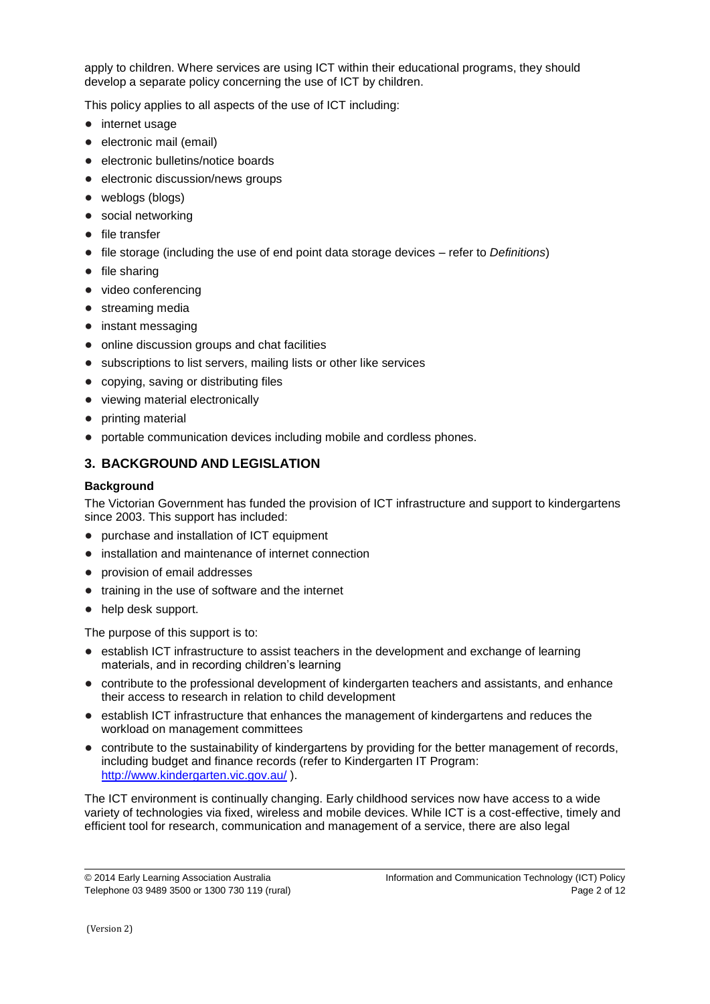apply to children. Where services are using ICT within their educational programs, they should develop a separate policy concerning the use of ICT by children.

This policy applies to all aspects of the use of ICT including:

- internet usage
- electronic mail (email)
- electronic bulletins/notice boards
- electronic discussion/news groups
- weblogs (blogs)
- social networking
- file transfer
- file storage (including the use of end point data storage devices refer to *Definitions*)
- file sharing
- video conferencing
- streaming media
- instant messaging
- online discussion groups and chat facilities
- subscriptions to list servers, mailing lists or other like services
- copying, saving or distributing files
- viewing material electronically
- printing material
- portable communication devices including mobile and cordless phones.

### **3. BACKGROUND AND LEGISLATION**

#### **Background**

The Victorian Government has funded the provision of ICT infrastructure and support to kindergartens since 2003. This support has included:

- purchase and installation of ICT equipment
- installation and maintenance of internet connection
- provision of email addresses
- training in the use of software and the internet
- help desk support.

The purpose of this support is to:

- establish ICT infrastructure to assist teachers in the development and exchange of learning materials, and in recording children's learning
- contribute to the professional development of kindergarten teachers and assistants, and enhance their access to research in relation to child development
- establish ICT infrastructure that enhances the management of kindergartens and reduces the workload on management committees
- contribute to the sustainability of kindergartens by providing for the better management of records, including budget and finance records (refer to Kindergarten IT Program: <http://www.kindergarten.vic.gov.au/> ).

The ICT environment is continually changing. Early childhood services now have access to a wide variety of technologies via fixed, wireless and mobile devices. While ICT is a cost-effective, timely and efficient tool for research, communication and management of a service, there are also legal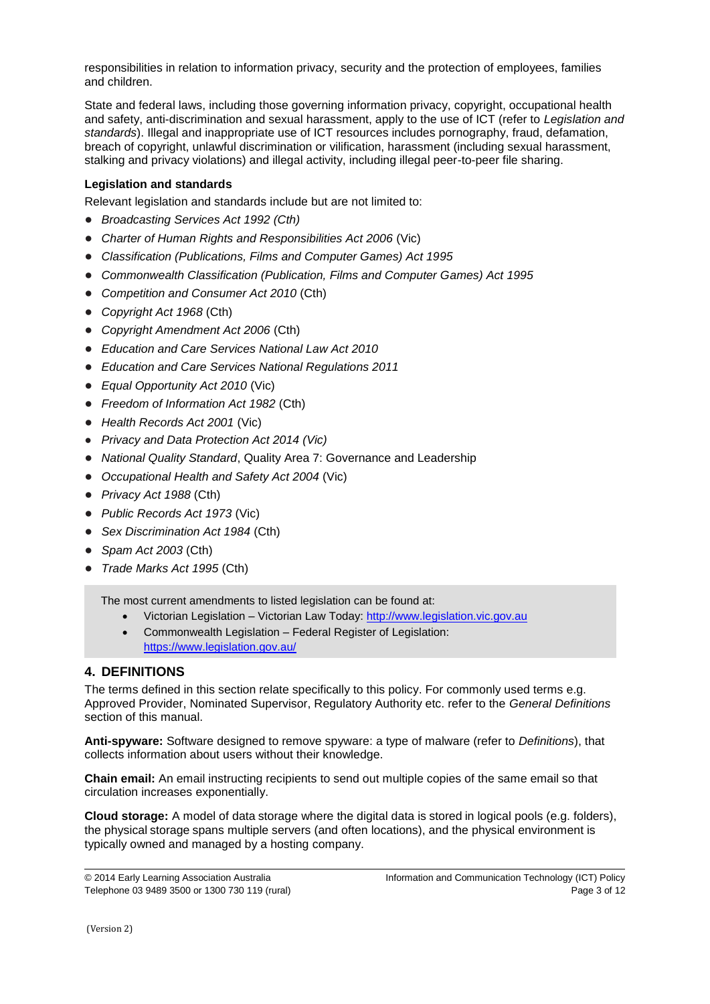responsibilities in relation to information privacy, security and the protection of employees, families and children.

State and federal laws, including those governing information privacy, copyright, occupational health and safety, anti-discrimination and sexual harassment, apply to the use of ICT (refer to *Legislation and standards*). Illegal and inappropriate use of ICT resources includes pornography, fraud, defamation, breach of copyright, unlawful discrimination or vilification, harassment (including sexual harassment, stalking and privacy violations) and illegal activity, including illegal peer-to-peer file sharing.

#### **Legislation and standards**

Relevant legislation and standards include but are not limited to:

- *Broadcasting Services Act 1992 (Cth)*
- *Charter of Human Rights and Responsibilities Act 2006* (Vic)
- *Classification (Publications, Films and Computer Games) Act 1995*
- *Commonwealth Classification (Publication, Films and Computer Games) Act 1995*
- *Competition and Consumer Act 2010* (Cth)
- *Copyright Act 1968* (Cth)
- *Copyright Amendment Act 2006* (Cth)
- *Education and Care Services National Law Act 2010*
- *Education and Care Services National Regulations 2011*
- *Equal Opportunity Act 2010* (Vic)
- *Freedom of Information Act 1982* (Cth)
- *Health Records Act 2001* (Vic)
- *Privacy and Data Protection Act 2014 (Vic)*
- *National Quality Standard*, Quality Area 7: Governance and Leadership
- *Occupational Health and Safety Act 2004* (Vic)
- *Privacy Act 1988* (Cth)
- *Public Records Act 1973* (Vic)
- *Sex Discrimination Act 1984* (Cth)
- *Spam Act 2003* (Cth)
- *Trade Marks Act 1995* (Cth)

The most current amendments to listed legislation can be found at:

- Victorian Legislation Victorian Law Today: [http://www.legislation.vic.gov.au](http://www.legislation.vic.gov.au/)
- Commonwealth Legislation Federal Register of Legislation: <https://www.legislation.gov.au/>

#### **4. DEFINITIONS**

The terms defined in this section relate specifically to this policy. For commonly used terms e.g. Approved Provider, Nominated Supervisor, Regulatory Authority etc. refer to the *General Definitions* section of this manual.

**Anti-spyware:** Software designed to remove spyware: a type of malware (refer to *Definitions*), that collects information about users without their knowledge.

**Chain email:** An email instructing recipients to send out multiple copies of the same email so that circulation increases exponentially.

**Cloud storage:** A model of data storage where the digital data is stored in logical pools (e.g. folders), the physical storage spans multiple servers (and often locations), and the physical environment is typically owned and managed by a hosting company.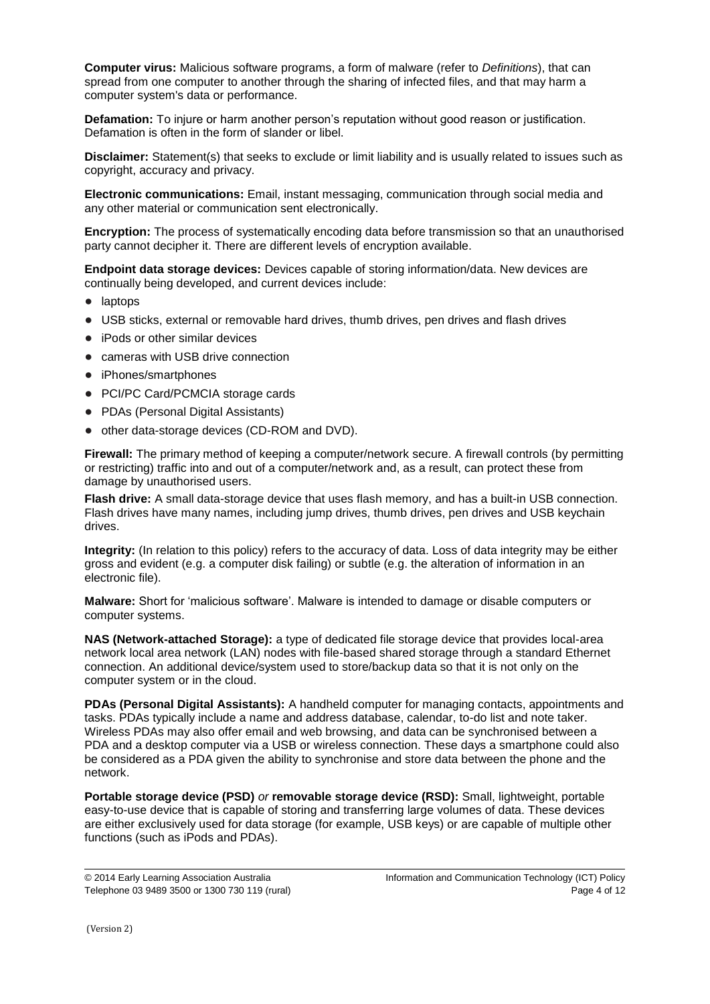**Computer virus:** Malicious software programs, a form of malware (refer to *Definitions*), that can spread from one computer to another through the sharing of infected files, and that may harm a computer system's data or performance.

**Defamation:** To injure or harm another person's reputation without good reason or justification. Defamation is often in the form of slander or libel.

**Disclaimer:** Statement(s) that seeks to exclude or limit liability and is usually related to issues such as copyright, accuracy and privacy.

**Electronic communications:** Email, instant messaging, communication through social media and any other material or communication sent electronically.

**Encryption:** The process of systematically encoding data before transmission so that an unauthorised party cannot decipher it. There are different levels of encryption available.

**Endpoint data storage devices:** Devices capable of storing information/data. New devices are continually being developed, and current devices include:

- laptops
- USB sticks, external or removable hard drives, thumb drives, pen drives and flash drives
- iPods or other similar devices
- cameras with USB drive connection
- iPhones/smartphones
- PCI/PC Card/PCMCIA storage cards
- PDAs (Personal Digital Assistants)
- other data-storage devices (CD-ROM and DVD).

**Firewall:** The primary method of keeping a computer/network secure. A firewall controls (by permitting or restricting) traffic into and out of a computer/network and, as a result, can protect these from damage by unauthorised users.

**Flash drive:** A small data-storage device that uses flash memory, and has a built-in USB connection. Flash drives have many names, including jump drives, thumb drives, pen drives and USB keychain drives.

**Integrity:** (In relation to this policy) refers to the accuracy of data. Loss of data integrity may be either gross and evident (e.g. a computer disk failing) or subtle (e.g. the alteration of information in an electronic file).

**Malware:** Short for 'malicious software'. Malware is intended to damage or disable computers or computer systems.

**NAS (Network-attached Storage):** a type of dedicated file storage device that provides local-area network local area network (LAN) nodes with file-based shared storage through a standard Ethernet connection. An additional device/system used to store/backup data so that it is not only on the computer system or in the cloud.

**PDAs (Personal Digital Assistants):** A handheld computer for managing contacts, appointments and tasks. PDAs typically include a name and address database, calendar, to-do list and note taker. Wireless PDAs may also offer email and web browsing, and data can be synchronised between a PDA and a desktop computer via a USB or wireless connection. These days a smartphone could also be considered as a PDA given the ability to synchronise and store data between the phone and the network.

**Portable storage device (PSD)** *or* **removable storage device (RSD):** Small, lightweight, portable easy-to-use device that is capable of storing and transferring large volumes of data. These devices are either exclusively used for data storage (for example, USB keys) or are capable of multiple other functions (such as iPods and PDAs).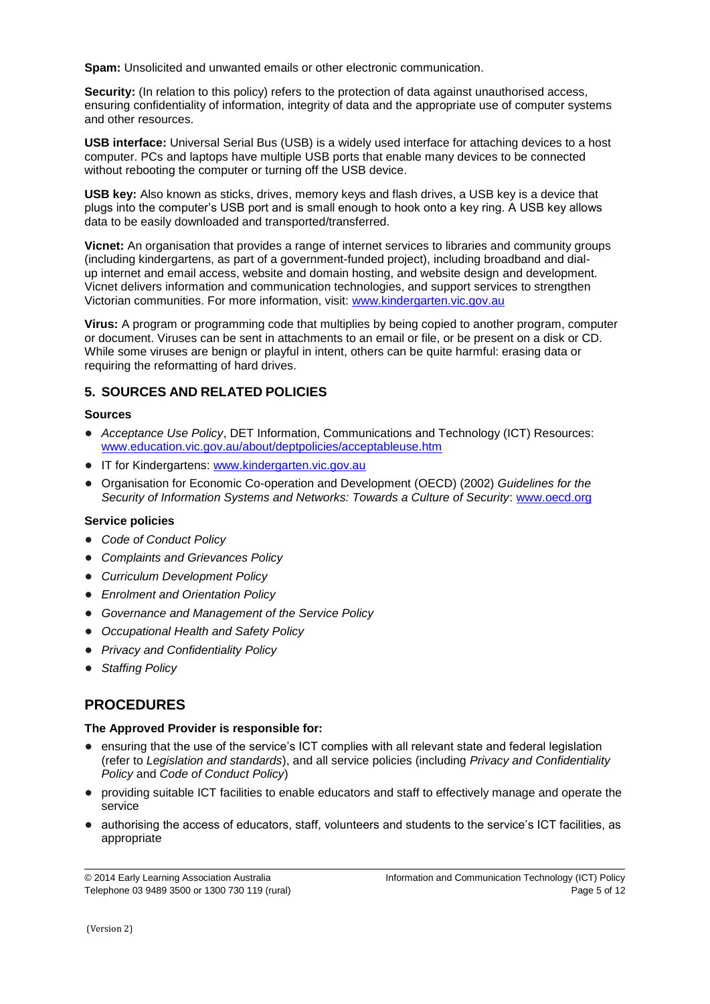**Spam:** Unsolicited and unwanted emails or other electronic communication.

**Security:** (In relation to this policy) refers to the protection of data against unauthorised access, ensuring confidentiality of information, integrity of data and the appropriate use of computer systems and other resources.

**USB interface:** Universal Serial Bus (USB) is a widely used interface for attaching devices to a host computer. PCs and laptops have multiple USB ports that enable many devices to be connected without rebooting the computer or turning off the USB device.

**USB key:** Also known as sticks, drives, memory keys and flash drives, a USB key is a device that plugs into the computer's USB port and is small enough to hook onto a key ring. A USB key allows data to be easily downloaded and transported/transferred.

**Vicnet:** An organisation that provides a range of internet services to libraries and community groups (including kindergartens, as part of a government-funded project), including broadband and dialup internet and email access, website and domain hosting, and website design and development. Vicnet delivers information and communication technologies, and support services to strengthen Victorian communities. For more information, visit: [www.kindergarten.vic.gov.au](http://www.kindergarten.vic.gov.au/)

**Virus:** A program or programming code that multiplies by being copied to another program, computer or document. Viruses can be sent in attachments to an email or file, or be present on a disk or CD. While some viruses are benign or playful in intent, others can be quite harmful: erasing data or requiring the reformatting of hard drives.

### **5. SOURCES AND RELATED POLICIES**

#### **Sources**

- *Acceptance Use Policy*, DET Information, Communications and Technology (ICT) Resources: [www.education.vic.gov.au/about/deptpolicies/acceptableuse.htm](http://www.education.vic.gov.au/about/deptpolicies/acceptableuse.htm)
- IT for Kindergartens: [www.kindergarten.vic.gov.au](http://www.kindergarten.vic.gov.au/)
- Organisation for Economic Co-operation and Development (OECD) (2002) *Guidelines for the Security of Information Systems and Networks: Towards a Culture of Security*: [www.oecd.org](http://www.oecd.org/)

#### **Service policies**

- *Code of Conduct Policy*
- *Complaints and Grievances Policy*
- *Curriculum Development Policy*
- *Enrolment and Orientation Policy*
- *Governance and Management of the Service Policy*
- *Occupational Health and Safety Policy*
- *Privacy and Confidentiality Policy*
- *Staffing Policy*

# **PROCEDURES**

#### **The Approved Provider is responsible for:**

- ensuring that the use of the service's ICT complies with all relevant state and federal legislation (refer to *Legislation and standards*), and all service policies (including *Privacy and Confidentiality Policy* and *Code of Conduct Policy*)
- providing suitable ICT facilities to enable educators and staff to effectively manage and operate the service
- authorising the access of educators, staff, volunteers and students to the service's ICT facilities, as appropriate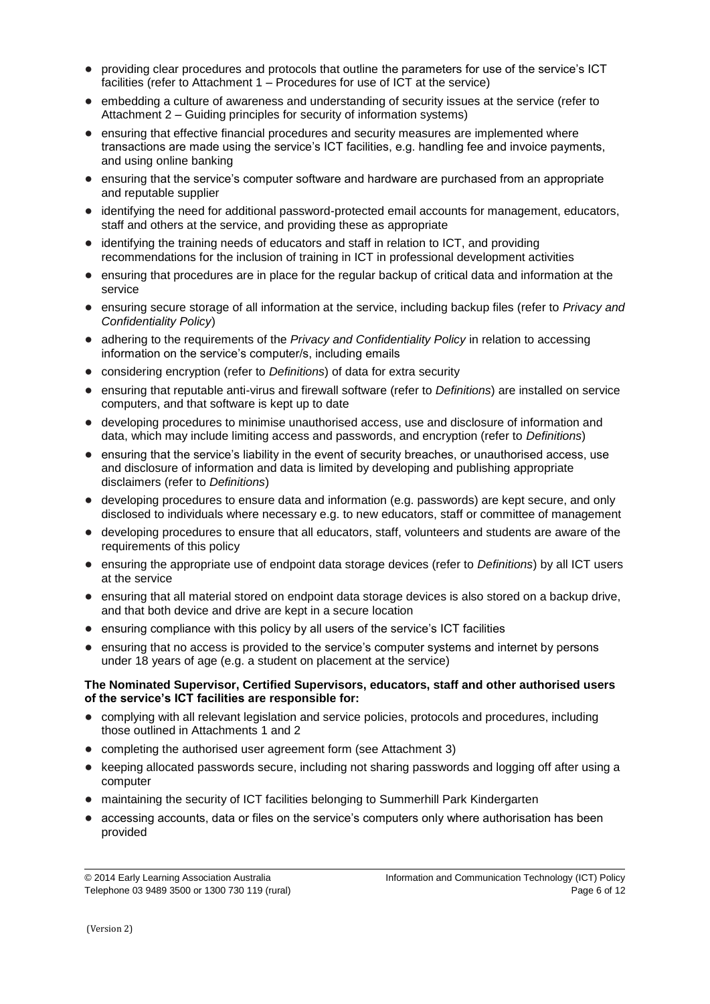- providing clear procedures and protocols that outline the parameters for use of the service's ICT facilities (refer to Attachment 1 – Procedures for use of ICT at the service)
- embedding a culture of awareness and understanding of security issues at the service (refer to Attachment 2 – Guiding principles for security of information systems)
- ensuring that effective financial procedures and security measures are implemented where transactions are made using the service's ICT facilities, e.g. handling fee and invoice payments, and using online banking
- ensuring that the service's computer software and hardware are purchased from an appropriate and reputable supplier
- identifying the need for additional password-protected email accounts for management, educators, staff and others at the service, and providing these as appropriate
- identifying the training needs of educators and staff in relation to ICT, and providing recommendations for the inclusion of training in ICT in professional development activities
- ensuring that procedures are in place for the regular backup of critical data and information at the service
- ensuring secure storage of all information at the service, including backup files (refer to *Privacy and Confidentiality Policy*)
- adhering to the requirements of the *Privacy and Confidentiality Policy* in relation to accessing information on the service's computer/s, including emails
- considering encryption (refer to *Definitions*) of data for extra security
- ensuring that reputable anti-virus and firewall software (refer to *Definitions*) are installed on service computers, and that software is kept up to date
- developing procedures to minimise unauthorised access, use and disclosure of information and data, which may include limiting access and passwords, and encryption (refer to *Definitions*)
- ensuring that the service's liability in the event of security breaches, or unauthorised access, use and disclosure of information and data is limited by developing and publishing appropriate disclaimers (refer to *Definitions*)
- developing procedures to ensure data and information (e.g. passwords) are kept secure, and only disclosed to individuals where necessary e.g. to new educators, staff or committee of management
- developing procedures to ensure that all educators, staff, volunteers and students are aware of the requirements of this policy
- ensuring the appropriate use of endpoint data storage devices (refer to *Definitions*) by all ICT users at the service
- ensuring that all material stored on endpoint data storage devices is also stored on a backup drive, and that both device and drive are kept in a secure location
- ensuring compliance with this policy by all users of the service's ICT facilities
- ensuring that no access is provided to the service's computer systems and internet by persons under 18 years of age (e.g. a student on placement at the service)

#### **The Nominated Supervisor, Certified Supervisors, educators, staff and other authorised users of the service's ICT facilities are responsible for:**

- complying with all relevant legislation and service policies, protocols and procedures, including those outlined in Attachments 1 and 2
- completing the authorised user agreement form (see Attachment 3)
- keeping allocated passwords secure, including not sharing passwords and logging off after using a computer
- maintaining the security of ICT facilities belonging to Summerhill Park Kindergarten
- accessing accounts, data or files on the service's computers only where authorisation has been provided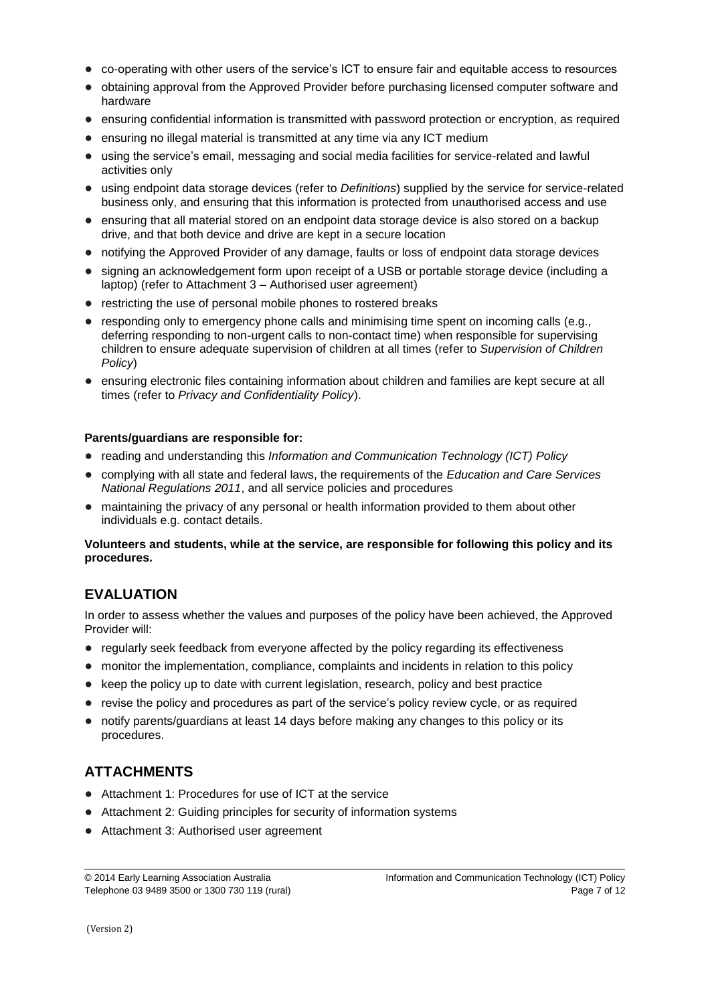- co-operating with other users of the service's ICT to ensure fair and equitable access to resources
- obtaining approval from the Approved Provider before purchasing licensed computer software and hardware
- ensuring confidential information is transmitted with password protection or encryption, as required
- ensuring no illegal material is transmitted at any time via any ICT medium
- using the service's email, messaging and social media facilities for service-related and lawful activities only
- using endpoint data storage devices (refer to *Definitions*) supplied by the service for service-related business only, and ensuring that this information is protected from unauthorised access and use
- ensuring that all material stored on an endpoint data storage device is also stored on a backup drive, and that both device and drive are kept in a secure location
- notifying the Approved Provider of any damage, faults or loss of endpoint data storage devices
- signing an acknowledgement form upon receipt of a USB or portable storage device (including a laptop) (refer to Attachment 3 – Authorised user agreement)
- restricting the use of personal mobile phones to rostered breaks
- responding only to emergency phone calls and minimising time spent on incoming calls (e.g., deferring responding to non-urgent calls to non-contact time) when responsible for supervising children to ensure adequate supervision of children at all times (refer to *Supervision of Children Policy*)
- ensuring electronic files containing information about children and families are kept secure at all times (refer to *Privacy and Confidentiality Policy*).

#### **Parents/guardians are responsible for:**

- reading and understanding this *Information and Communication Technology (ICT) Policy*
- complying with all state and federal laws, the requirements of the *Education and Care Services National Regulations 2011*, and all service policies and procedures
- maintaining the privacy of any personal or health information provided to them about other individuals e.g. contact details.

#### **Volunteers and students, while at the service, are responsible for following this policy and its procedures.**

# **EVALUATION**

In order to assess whether the values and purposes of the policy have been achieved, the Approved Provider will:

- regularly seek feedback from everyone affected by the policy regarding its effectiveness
- monitor the implementation, compliance, complaints and incidents in relation to this policy
- keep the policy up to date with current legislation, research, policy and best practice
- revise the policy and procedures as part of the service's policy review cycle, or as required
- notify parents/guardians at least 14 days before making any changes to this policy or its procedures.

## **ATTACHMENTS**

- Attachment 1: Procedures for use of ICT at the service
- Attachment 2: Guiding principles for security of information systems
- Attachment 3: Authorised user agreement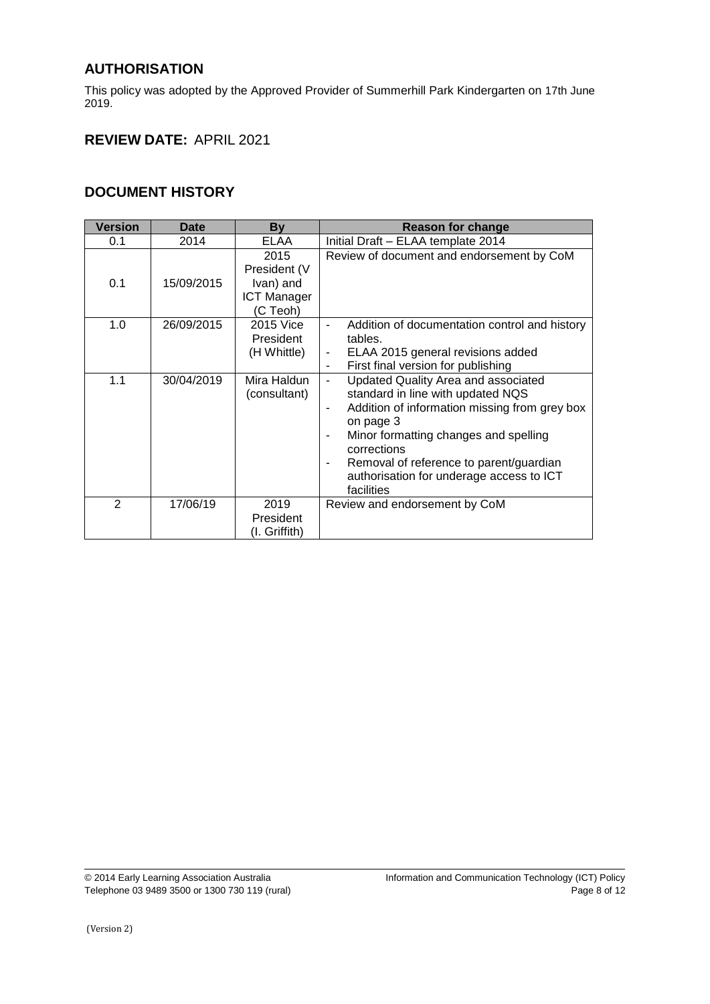# **AUTHORISATION**

This policy was adopted by the Approved Provider of Summerhill Park Kindergarten on 17th June 2019.

# **REVIEW DATE:** APRIL 2021

### **DOCUMENT HISTORY**

| <b>Version</b> | <b>Date</b> | <b>By</b>                                                           | <b>Reason for change</b>                                                                                                                                                                                                                                                                                        |
|----------------|-------------|---------------------------------------------------------------------|-----------------------------------------------------------------------------------------------------------------------------------------------------------------------------------------------------------------------------------------------------------------------------------------------------------------|
| 0.1            | 2014        | ELAA                                                                | Initial Draft - ELAA template 2014                                                                                                                                                                                                                                                                              |
| 0.1            | 15/09/2015  | 2015<br>President (V<br>Ivan) and<br><b>ICT Manager</b><br>(C Teoh) | Review of document and endorsement by CoM                                                                                                                                                                                                                                                                       |
| 1.0            | 26/09/2015  | 2015 Vice<br>President<br>(H Whittle)                               | Addition of documentation control and history<br>tables.<br>ELAA 2015 general revisions added<br>$\overline{\phantom{a}}$<br>First final version for publishing<br>$\blacksquare$                                                                                                                               |
| 1.1            | 30/04/2019  | Mira Haldun<br>(consultant)                                         | <b>Updated Quality Area and associated</b><br>standard in line with updated NQS<br>Addition of information missing from grey box<br>٠<br>on page 3<br>Minor formatting changes and spelling<br>corrections<br>Removal of reference to parent/guardian<br>authorisation for underage access to ICT<br>facilities |
| $\mathcal{P}$  | 17/06/19    | 2019<br>President<br>(I. Griffith)                                  | Review and endorsement by CoM                                                                                                                                                                                                                                                                                   |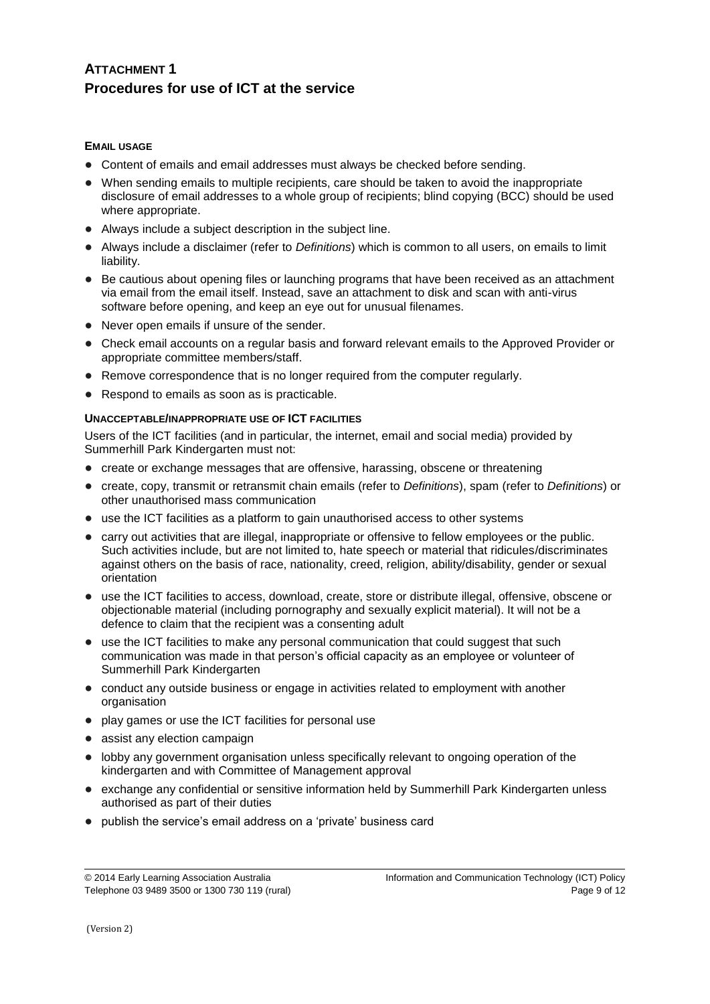## **ATTACHMENT 1 Procedures for use of ICT at the service**

#### **EMAIL USAGE**

- Content of emails and email addresses must always be checked before sending.
- When sending emails to multiple recipients, care should be taken to avoid the inappropriate disclosure of email addresses to a whole group of recipients; blind copying (BCC) should be used where appropriate.
- Always include a subject description in the subject line.
- Always include a disclaimer (refer to *Definitions*) which is common to all users, on emails to limit liability.
- Be cautious about opening files or launching programs that have been received as an attachment via email from the email itself. Instead, save an attachment to disk and scan with anti-virus software before opening, and keep an eye out for unusual filenames.
- Never open emails if unsure of the sender.
- Check email accounts on a regular basis and forward relevant emails to the Approved Provider or appropriate committee members/staff.
- Remove correspondence that is no longer required from the computer regularly.
- Respond to emails as soon as is practicable.

#### **UNACCEPTABLE/INAPPROPRIATE USE OF ICT FACILITIES**

Users of the ICT facilities (and in particular, the internet, email and social media) provided by Summerhill Park Kindergarten must not:

- create or exchange messages that are offensive, harassing, obscene or threatening
- create, copy, transmit or retransmit chain emails (refer to *Definitions*), spam (refer to *Definitions*) or other unauthorised mass communication
- use the ICT facilities as a platform to gain unauthorised access to other systems
- carry out activities that are illegal, inappropriate or offensive to fellow employees or the public. Such activities include, but are not limited to, hate speech or material that ridicules/discriminates against others on the basis of race, nationality, creed, religion, ability/disability, gender or sexual orientation
- use the ICT facilities to access, download, create, store or distribute illegal, offensive, obscene or objectionable material (including pornography and sexually explicit material). It will not be a defence to claim that the recipient was a consenting adult
- use the ICT facilities to make any personal communication that could suggest that such communication was made in that person's official capacity as an employee or volunteer of Summerhill Park Kindergarten
- conduct any outside business or engage in activities related to employment with another organisation
- play games or use the ICT facilities for personal use
- assist any election campaign
- lobby any government organisation unless specifically relevant to ongoing operation of the kindergarten and with Committee of Management approval
- exchange any confidential or sensitive information held by Summerhill Park Kindergarten unless authorised as part of their duties
- publish the service's email address on a 'private' business card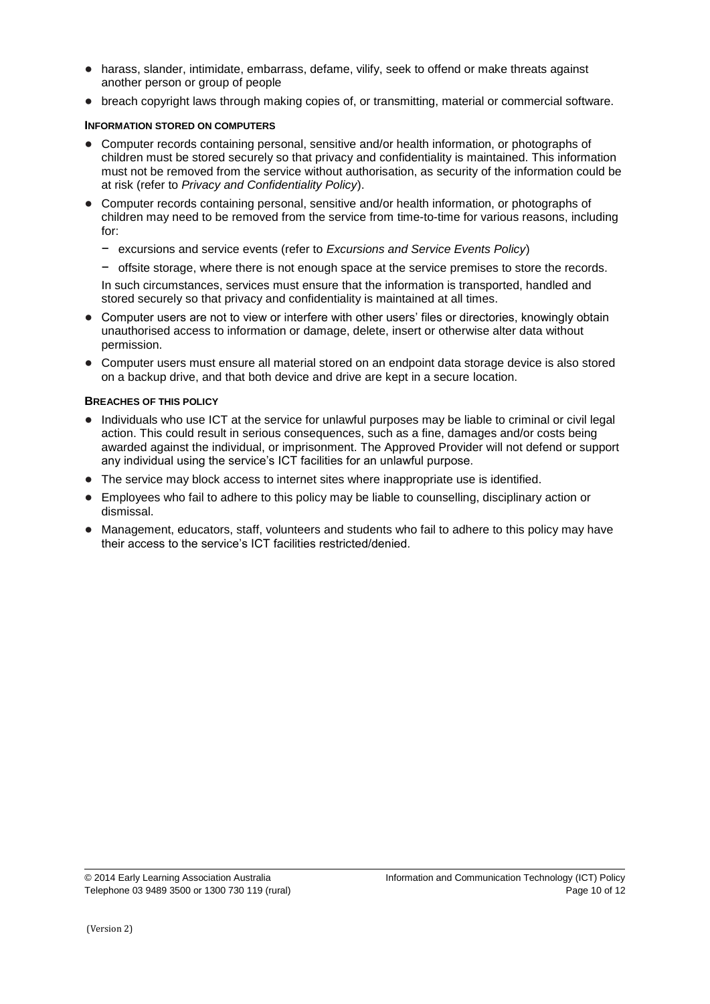- harass, slander, intimidate, embarrass, defame, vilify, seek to offend or make threats against another person or group of people
- breach copyright laws through making copies of, or transmitting, material or commercial software.

#### **INFORMATION STORED ON COMPUTERS**

- Computer records containing personal, sensitive and/or health information, or photographs of children must be stored securely so that privacy and confidentiality is maintained. This information must not be removed from the service without authorisation, as security of the information could be at risk (refer to *Privacy and Confidentiality Policy*).
- Computer records containing personal, sensitive and/or health information, or photographs of children may need to be removed from the service from time-to-time for various reasons, including for:
	- − excursions and service events (refer to *Excursions and Service Events Policy*)
	- − offsite storage, where there is not enough space at the service premises to store the records.

In such circumstances, services must ensure that the information is transported, handled and stored securely so that privacy and confidentiality is maintained at all times.

- Computer users are not to view or interfere with other users' files or directories, knowingly obtain unauthorised access to information or damage, delete, insert or otherwise alter data without permission.
- Computer users must ensure all material stored on an endpoint data storage device is also stored on a backup drive, and that both device and drive are kept in a secure location.

#### **BREACHES OF THIS POLICY**

- Individuals who use ICT at the service for unlawful purposes may be liable to criminal or civil legal action. This could result in serious consequences, such as a fine, damages and/or costs being awarded against the individual, or imprisonment. The Approved Provider will not defend or support any individual using the service's ICT facilities for an unlawful purpose.
- The service may block access to internet sites where inappropriate use is identified.
- Employees who fail to adhere to this policy may be liable to counselling, disciplinary action or dismissal.
- Management, educators, staff, volunteers and students who fail to adhere to this policy may have their access to the service's ICT facilities restricted/denied.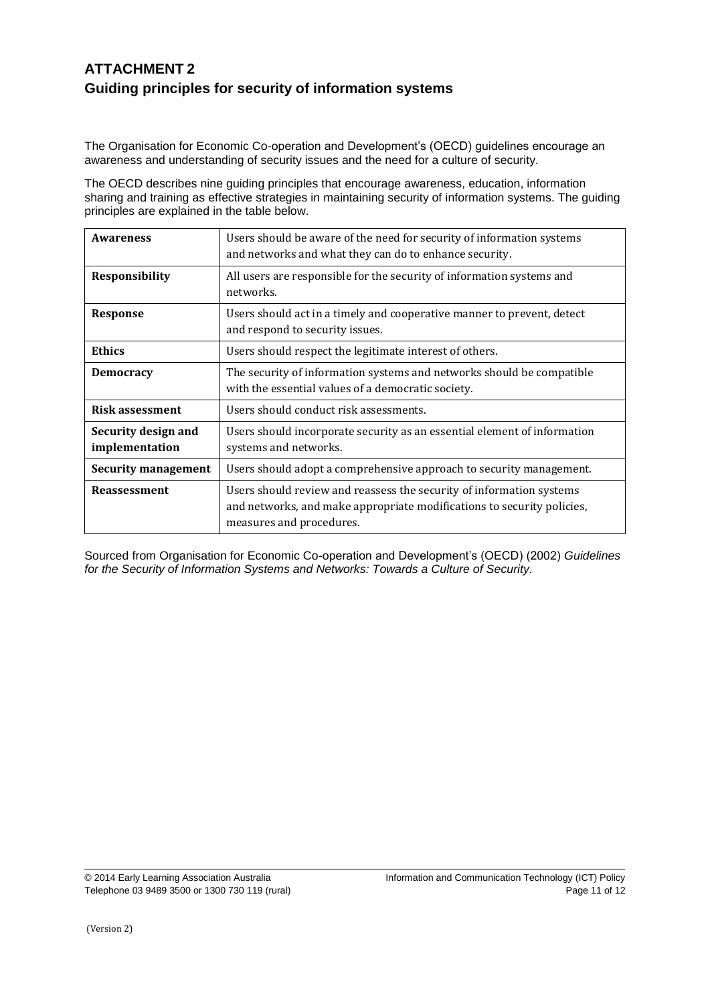# **ATTACHMENT 2 Guiding principles for security of information systems**

The Organisation for Economic Co-operation and Development's (OECD) guidelines encourage an awareness and understanding of security issues and the need for a culture of security.

The OECD describes nine guiding principles that encourage awareness, education, information sharing and training as effective strategies in maintaining security of information systems. The guiding principles are explained in the table below.

| <b>Awareness</b>                      | Users should be aware of the need for security of information systems<br>and networks and what they can do to enhance security.                                            |  |
|---------------------------------------|----------------------------------------------------------------------------------------------------------------------------------------------------------------------------|--|
| <b>Responsibility</b>                 | All users are responsible for the security of information systems and<br>networks.                                                                                         |  |
| <b>Response</b>                       | Users should act in a timely and cooperative manner to prevent, detect<br>and respond to security issues.                                                                  |  |
| <b>Ethics</b>                         | Users should respect the legitimate interest of others.                                                                                                                    |  |
| <b>Democracy</b>                      | The security of information systems and networks should be compatible<br>with the essential values of a democratic society.                                                |  |
| <b>Risk assessment</b>                | Users should conduct risk assessments.                                                                                                                                     |  |
| Security design and<br>implementation | Users should incorporate security as an essential element of information<br>systems and networks.                                                                          |  |
| Security management                   | Users should adopt a comprehensive approach to security management.                                                                                                        |  |
| <b>Reassessment</b>                   | Users should review and reassess the security of information systems<br>and networks, and make appropriate modifications to security policies,<br>measures and procedures. |  |

Sourced from Organisation for Economic Co-operation and Development's (OECD) (2002) *Guidelines for the Security of Information Systems and Networks: Towards a Culture of Security.*

(Version 2)